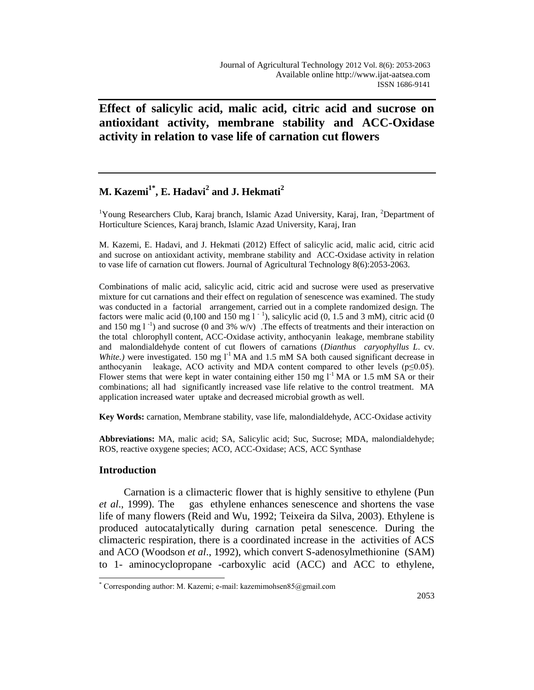**Effect of salicylic acid, malic acid, citric acid and sucrose on antioxidant activity, membrane stability and ACC-Oxidase activity in relation to vase life of carnation cut flowers**

# **M. Kazemi 1\* , E. Hadavi<sup>2</sup> and J. Hekmati<sup>2</sup>**

<sup>1</sup>Young Researchers Club, Karaj branch, Islamic Azad University, Karaj, Iran, <sup>2</sup>Department of Horticulture Sciences, Karaj branch, Islamic Azad University, Karaj, Iran

M. Kazemi, E. Hadavi, and J. Hekmati (2012) Effect of salicylic acid, malic acid, citric acid and sucrose on antioxidant activity, membrane stability and ACC-Oxidase activity in relation to vase life of carnation cut flowers. Journal of Agricultural Technology 8(6):2053-2063.

Combinations of malic acid, salicylic acid, citric acid and sucrose were used as preservative mixture for cut carnations and their effect on regulation of senescence was examined. The study was conducted in a factorial arrangement, carried out in a complete randomized design. The factors were malic acid (0,100 and 150 mg  $1^{-1}$ ), salicylic acid (0, 1.5 and 3 mM), citric acid (0 and 150 mg  $1^{-1}$ ) and sucrose (0 and 3% w/v) .The effects of treatments and their interaction on the total chlorophyll content, ACC-Oxidase activity, anthocyanin leakage, membrane stability and malondialdehyde content of cut flowers of carnations (*Dianthus caryophyllus L*. cv. *White.*) were investigated. 150 mg  $I<sup>-1</sup> MA$  and 1.5 mM SA both caused significant decrease in anthocyanin leakage, ACO activity and MDA content compared to other levels ( $p \le 0.05$ ). Flower stems that were kept in water containing either 150 mg  $1^{-1}$  MA or 1.5 mM SA or their combinations; all had significantly increased vase life relative to the control treatment. MA application increased water uptake and decreased microbial growth as well.

**Key Words:** carnation, Membrane stability, vase life, malondialdehyde, ACC-Oxidase activity

**Abbreviations:** MA, malic acid; SA, Salicylic acid; Suc, Sucrose; MDA, malondialdehyde; ROS, reactive oxygene species; ACO, ACC-Oxidase; ACS, ACC Synthase

# **Introduction**

 $\overline{a}$ 

Carnation is a climacteric flower that is highly sensitive to ethylene (Pun *et al*., 1999). The gas ethylene enhances senescence and shortens the vase life of many flowers (Reid and Wu, 1992; Teixeira da Silva, 2003). Ethylene is produced autocatalytically during carnation petal senescence. During the climacteric respiration, there is a coordinated increase in the activities of ACS and ACO (Woodson *et al*., 1992), which convert S-adenosylmethionine (SAM) to 1- aminocyclopropane -carboxylic acid (ACC) and ACC to ethylene,

<sup>\*</sup> Corresponding author: M. Kazemi; e-mail: kazemimohsen $85$ @gmail.com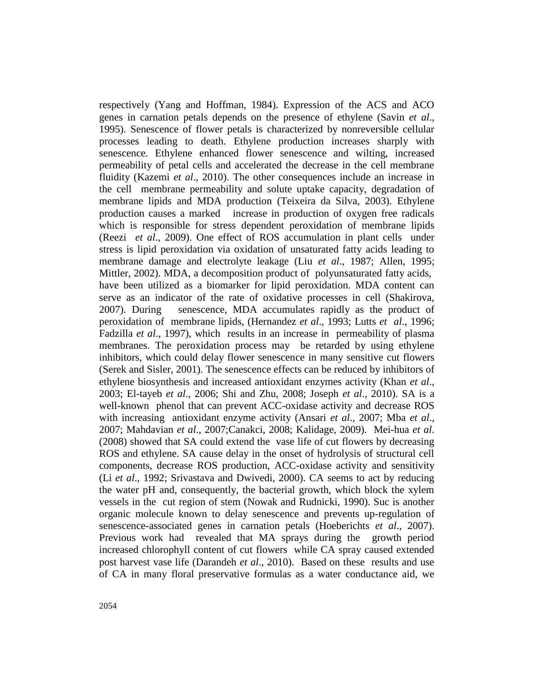respectively (Yang and Hoffman, 1984). Expression of the ACS and ACO genes in carnation petals depends on the presence of ethylene (Savin *et al*., 1995). Senescence of flower petals is characterized by nonreversible cellular processes leading to death. Ethylene production increases sharply with senescence. Ethylene enhanced flower senescence and wilting, increased permeability of petal cells and accelerated the decrease in the cell membrane fluidity (Kazemi *et al*., 2010). The other consequences include an increase in the cell membrane permeability and solute uptake capacity, degradation of membrane lipids and MDA production (Teixeira da Silva, 2003). Ethylene production causes a marked increase in production of oxygen free radicals which is responsible for stress dependent peroxidation of membrane lipids (Reezi *et al*., 2009). One effect of ROS accumulation in plant cells under stress is lipid peroxidation via oxidation of unsaturated fatty acids leading to membrane damage and electrolyte leakage (Liu *et al*., 1987; Allen, 1995; Mittler, 2002). MDA, a decomposition product of polyunsaturated fatty acids, have been utilized as a biomarker for lipid peroxidation. MDA content can serve as an indicator of the rate of oxidative processes in cell (Shakirova, 2007). During senescence, MDA accumulates rapidly as the product of peroxidation of membrane lipids, (Hernandez *et al*., 1993; Lutts *et al*., 1996; Fadzilla *et al*., 1997), which results in an increase in permeability of plasma membranes. The peroxidation process may be retarded by using ethylene inhibitors, which could delay flower senescence in many sensitive cut flowers (Serek and Sisler, 2001). The senescence effects can be reduced by inhibitors of ethylene biosynthesis and increased antioxidant enzymes activity (Khan *et al*., 2003; El-tayeb *et al*., 2006; Shi and Zhu, 2008; Joseph *et al*., 2010). SA is a well-known phenol that can prevent ACC-oxidase activity and decrease ROS with increasing antioxidant enzyme activity (Ansari *et al*., 2007; Mba *et al*., 2007; Mahdavian *et al*., 2007;Canakci, 2008; Kalidage, 2009). Mei-hua *et al*. (2008) showed that SA could extend the vase life of cut flowers by decreasing ROS and ethylene. SA cause delay in the onset of hydrolysis of structural cell components, decrease ROS production, ACC-oxidase activity and sensitivity (Li *et al*., 1992; Srivastava and Dwivedi, 2000). CA seems to act by reducing the water pH and, consequently, the bacterial growth, which block the xylem vessels in the cut region of stem (Nowak and Rudnicki, 1990). Suc is another organic molecule known to delay senescence and prevents up-regulation of senescence-associated genes in carnation petals (Hoeberichts *et al*., 2007). Previous work had revealed that MA sprays during the growth period increased chlorophyll content of cut flowers while CA spray caused extended post harvest vase life (Darandeh *et al*., 2010). Based on these results and use of CA in many floral preservative formulas as a water conductance aid, we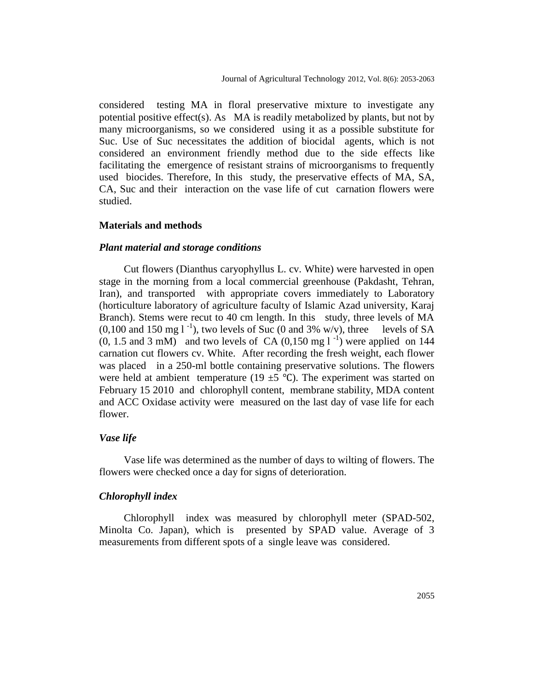considered testing MA in floral preservative mixture to investigate any potential positive effect(s). As MA is readily metabolized by plants, but not by many microorganisms, so we considered using it as a possible substitute for Suc. Use of Suc necessitates the addition of biocidal agents, which is not considered an environment friendly method due to the side effects like facilitating the emergence of resistant strains of microorganisms to frequently used biocides. Therefore, In this study, the preservative effects of MA, SA, CA, Suc and their interaction on the vase life of cut carnation flowers were studied.

#### **Materials and methods**

#### *Plant material and storage conditions*

Cut flowers (Dianthus caryophyllus L. cv. White) were harvested in open stage in the morning from a local commercial greenhouse (Pakdasht, Tehran, Iran), and transported with appropriate covers immediately to Laboratory (horticulture laboratory of agriculture faculty of Islamic Azad university, Karaj Branch). Stems were recut to 40 cm length. In this study, three levels of MA  $(0,100 \text{ and } 150 \text{ mg l}^{-1})$ , two levels of Suc  $(0 \text{ and } 3\% \text{ w/v})$ , three levels of SA  $(0, 1.5 \text{ and } 3 \text{ mM})$  and two levels of CA  $(0, 150 \text{ mg l}^{-1})$  were applied on 144 carnation cut flowers cv. White. After recording the fresh weight, each flower was placed in a 250-ml bottle containing preservative solutions. The flowers were held at ambient temperature (19  $\pm$ 5 °C). The experiment was started on February 15 2010 and chlorophyll content, membrane stability, MDA content and ACC Oxidase activity were measured on the last day of vase life for each flower.

#### *Vase life*

Vase life was determined as the number of days to wilting of flowers. The flowers were checked once a day for signs of deterioration.

# *Chlorophyll index*

Chlorophyll index was measured by chlorophyll meter (SPAD-502, Minolta Co. Japan), which is presented by SPAD value. Average of 3 measurements from different spots of a single leave was considered.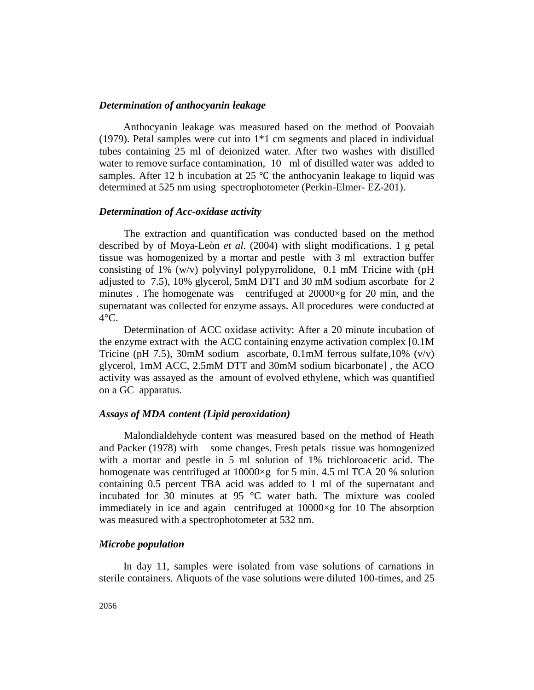#### *Determination of anthocyanin leakage*

Anthocyanin leakage was measured based on the method of Poovaiah (1979). Petal samples were cut into 1\*1 cm segments and placed in individual tubes containing 25 ml of deionized water. After two washes with distilled water to remove surface contamination, 10 ml of distilled water was added to samples. After 12 h incubation at 25  $\degree$ C the anthocyanin leakage to liquid was determined at 525 nm using spectrophotometer (Perkin-Elmer- EZ-201).

## *Determination of Acc-oxidase activity*

The extraction and quantification was conducted based on the method described by of Moya-Leòn *et al*. (2004) with slight modifications. 1 g petal tissue was homogenized by a mortar and pestle with 3 ml extraction buffer consisting of 1% (w/v) polyvinyl polypyrrolidone, 0.1 mM Tricine with (pH adjusted to 7.5), 10% glycerol, 5mM DTT and 30 mM sodium ascorbate for 2 minutes . The homogenate was centrifuged at 20000×g for 20 min, and the supernatant was collected for enzyme assays. All procedures were conducted at  $4^{\circ}$ C.

Determination of ACC oxidase activity: After a 20 minute incubation of the enzyme extract with the ACC containing enzyme activation complex [0.1M Tricine (pH 7.5), 30mM sodium ascorbate, 0.1mM ferrous sulfate,  $10\%$  (v/v) glycerol, 1mM ACC, 2.5mM DTT and 30mM sodium bicarbonate] , the ACO activity was assayed as the amount of evolved ethylene, which was quantified on a GC apparatus.

## *Assays of MDA content (Lipid peroxidation)*

Malondialdehyde content was measured based on the method of Heath and Packer (1978) with some changes. Fresh petals tissue was homogenized with a mortar and pestle in 5 ml solution of 1% trichloroacetic acid. The homogenate was centrifuged at  $10000 \times g$  for 5 min. 4.5 ml TCA 20 % solution containing 0.5 percent TBA acid was added to 1 ml of the supernatant and incubated for 30 minutes at 95 °C water bath. The mixture was cooled immediately in ice and again centrifuged at  $10000 \times g$  for 10 The absorption was measured with a spectrophotometer at 532 nm.

## *Microbe population*

In day 11, samples were isolated from vase solutions of carnations in sterile containers. Aliquots of the vase solutions were diluted 100-times, and 25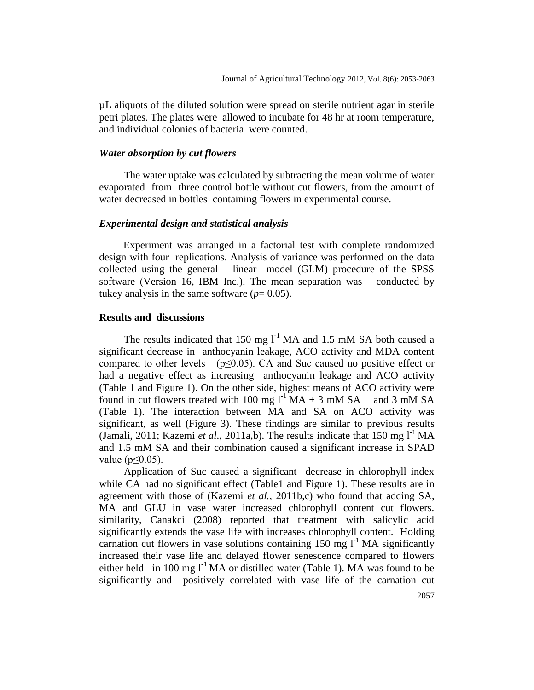µL aliquots of the diluted solution were spread on sterile nutrient agar in sterile petri plates. The plates were allowed to incubate for 48 hr at room temperature, and individual colonies of bacteria were counted.

#### *Water absorption by cut flowers*

The water uptake was calculated by subtracting the mean volume of water evaporated from three control bottle without cut flowers, from the amount of water decreased in bottles containing flowers in experimental course.

## *Experimental design and statistical analysis*

Experiment was arranged in a factorial test with complete randomized design with four replications. Analysis of variance was performed on the data collected using the general linear model (GLM) procedure of the SPSS software (Version 16, IBM Inc.). The mean separation was conducted by tukey analysis in the same software  $(p=0.05)$ .

### **Results and discussions**

The results indicated that 150 mg  $l^{-1}$  MA and 1.5 mM SA both caused a significant decrease in anthocyanin leakage, ACO activity and MDA content compared to other levels ( $p \le 0.05$ ). CA and Suc caused no positive effect or had a negative effect as increasing anthocyanin leakage and ACO activity (Table 1 and Figure 1). On the other side, highest means of ACO activity were found in cut flowers treated with 100 mg  $1^{-1}$  MA + 3 mM SA and 3 mM SA (Table 1). The interaction between MA and SA on ACO activity was significant, as well (Figure 3). These findings are similar to previous results (Jamali, 2011; Kazemi *et al.*, 2011a,b). The results indicate that 150 mg  $I<sup>-1</sup> MA$ and 1.5 mM SA and their combination caused a significant increase in SPAD value ( $p \leq 0.05$ ).

Application of Suc caused a significant decrease in chlorophyll index while CA had no significant effect (Table1 and Figure 1). These results are in agreement with those of (Kazemi *et al.,* 2011b,c) who found that adding SA, MA and GLU in vase water increased chlorophyll content cut flowers. similarity, Canakci (2008) reported that treatment with salicylic acid significantly extends the vase life with increases chlorophyll content. Holding carnation cut flowers in vase solutions containing 150 mg  $1^{-1}$  MA significantly increased their vase life and delayed flower senescence compared to flowers either held in 100 mg  $l^{-1}$  MA or distilled water (Table 1). MA was found to be significantly and positively correlated with vase life of the carnation cut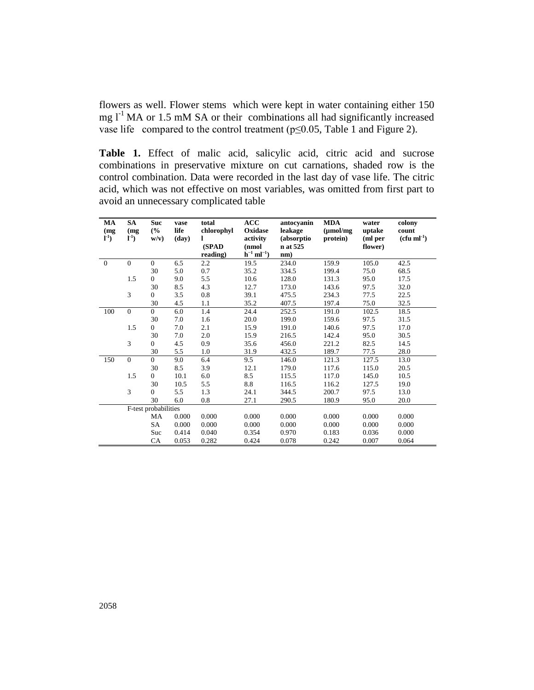flowers as well. Flower stems which were kept in water containing either 150 mg  $l^{-1}$  MA or 1.5 mM SA or their combinations all had significantly increased vase life compared to the control treatment ( $p \le 0.05$ , Table 1 and Figure 2).

**Table 1.** Effect of malic acid, salicylic acid, citric acid and sucrose combinations in preservative mixture on cut carnations, shaded row is the control combination. Data were recorded in the last day of vase life. The citric acid, which was not effective on most variables, was omitted from first part to avoid an unnecessary complicated table

| MA<br>(mg)<br>$l^{-1}$ | <b>SA</b><br>(mg<br>$l^{-1}$ | <b>Suc</b><br>(%)<br>$w/v$ ) | vase<br>life<br>(day) | total<br>chlorophyl<br>L | ACC<br>Oxidase<br>activity           | antocyanin<br>leakage<br>(absorptio) | <b>MDA</b><br>$(\mu \text{mol/mg})$<br>protein) | water<br>uptake<br>(ml per | colony<br>count<br>$(cfu ml-1)$ |
|------------------------|------------------------------|------------------------------|-----------------------|--------------------------|--------------------------------------|--------------------------------------|-------------------------------------------------|----------------------------|---------------------------------|
|                        |                              |                              |                       | (SPAD<br>reading)        | (nmol<br>$h^{-1}$ ml <sup>-1</sup> ) | n at 525<br>nm)                      |                                                 | flower)                    |                                 |
| $\overline{0}$         | $\overline{0}$               | $\mathbf{0}$                 | 6.5                   | 2.2                      | 19.5                                 | 234.0                                | 159.9                                           | 105.0                      | 42.5                            |
|                        |                              | 30                           | 5.0                   | 0.7                      | 35.2                                 | 334.5                                | 199.4                                           | 75.0                       | 68.5                            |
|                        | 1.5                          | $\mathbf{0}$                 | 9.0                   | 5.5                      | 10.6                                 | 128.0                                | 131.3                                           | 95.0                       | 17.5                            |
|                        |                              | 30                           | 8.5                   | 4.3                      | 12.7                                 | 173.0                                | 143.6                                           | 97.5                       | 32.0                            |
|                        | 3                            | $\Omega$                     | 3.5                   | 0.8                      | 39.1                                 | 475.5                                | 234.3                                           | 77.5                       | 22.5                            |
|                        |                              | 30                           | 4.5                   | 1.1                      | 35.2                                 | 407.5                                | 197.4                                           | 75.0                       | 32.5                            |
| 100                    | $\overline{0}$               | $\Omega$                     | 6.0                   | 1.4                      | 24.4                                 | 252.5                                | 191.0                                           | 102.5                      | 18.5                            |
|                        |                              | 30                           | 7.0                   | 1.6                      | 20.0                                 | 199.0                                | 159.6                                           | 97.5                       | 31.5                            |
|                        | 1.5                          | $\mathbf{0}$                 | 7.0                   | 2.1                      | 15.9                                 | 191.0                                | 140.6                                           | 97.5                       | 17.0                            |
|                        |                              | 30                           | 7.0                   | 2.0                      | 15.9                                 | 216.5                                | 142.4                                           | 95.0                       | 30.5                            |
|                        | 3                            | $\Omega$                     | 4.5                   | 0.9                      | 35.6                                 | 456.0                                | 221.2                                           | 82.5                       | 14.5                            |
|                        |                              | 30                           | 5.5                   | 1.0                      | 31.9                                 | 432.5                                | 189.7                                           | 77.5                       | 28.0                            |
| 150                    | $\overline{0}$               | $\mathbf{0}$                 | 9.0                   | 6.4                      | 9.5                                  | 146.0                                | 121.3                                           | 127.5                      | 13.0                            |
|                        |                              | 30                           | 8.5                   | 3.9                      | 12.1                                 | 179.0                                | 117.6                                           | 115.0                      | 20.5                            |
|                        | 1.5                          | $\mathbf{0}$                 | 10.1                  | 6.0                      | 8.5                                  | 115.5                                | 117.0                                           | 145.0                      | 10.5                            |
|                        |                              | 30                           | 10.5                  | 5.5                      | 8.8                                  | 116.5                                | 116.2                                           | 127.5                      | 19.0                            |
|                        | 3                            | $\mathbf{0}$                 | 5.5                   | 1.3                      | 24.1                                 | 344.5                                | 200.7                                           | 97.5                       | 13.0                            |
|                        |                              | 30                           | 6.0                   | 0.8                      | 27.1                                 | 290.5                                | 180.9                                           | 95.0                       | 20.0                            |
|                        | F-test probabilities         |                              |                       |                          |                                      |                                      |                                                 |                            |                                 |
|                        |                              | MA                           | 0.000                 | 0.000                    | 0.000                                | 0.000                                | 0.000                                           | 0.000                      | 0.000                           |
|                        |                              | SA                           | 0.000                 | 0.000                    | 0.000                                | 0.000                                | 0.000                                           | 0.000                      | 0.000                           |
|                        |                              | Suc                          | 0.414                 | 0.040                    | 0.354                                | 0.970                                | 0.183                                           | 0.036                      | 0.000                           |
|                        |                              | CA                           | 0.053                 | 0.282                    | 0.424                                | 0.078                                | 0.242                                           | 0.007                      | 0.064                           |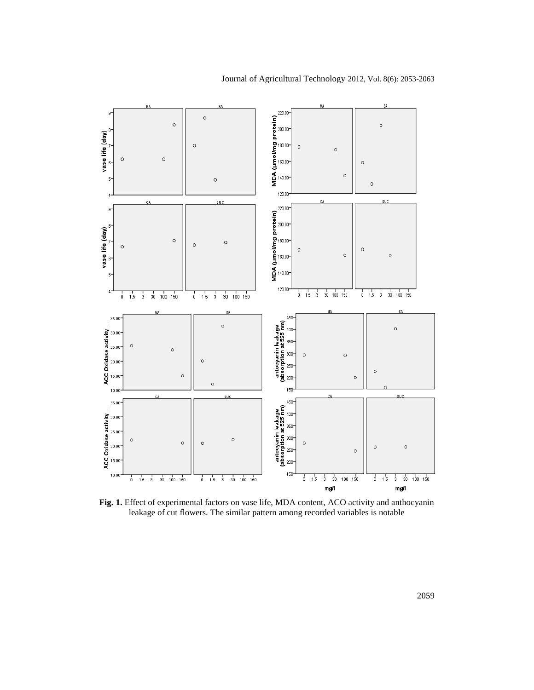

**Fig. 1.** Effect of experimental factors on vase life, MDA content, ACO activity and anthocyanin leakage of cut flowers. The similar pattern among recorded variables is notable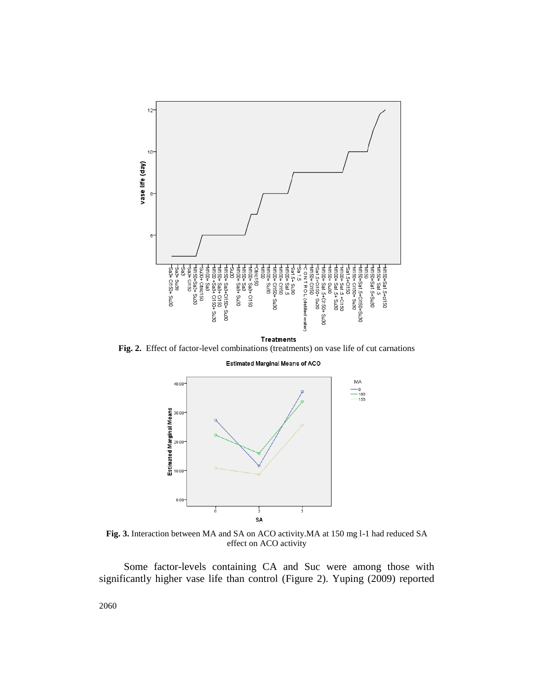

**Fig. 2.** Effect of factor-level combinations (treatments) on vase life of cut carnations

Estimated Marginal Means of ACO



**Fig. 3.** Interaction between MA and SA on ACO activity.MA at 150 mg l-1 had reduced SA effect on ACO activity

Some factor-levels containing CA and Suc were among those with significantly higher vase life than control (Figure 2). Yuping (2009) reported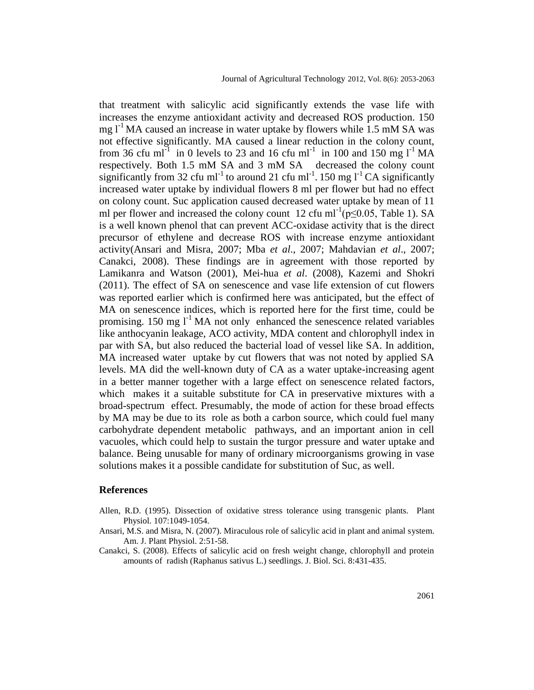that treatment with salicylic acid significantly extends the vase life with increases the enzyme antioxidant activity and decreased ROS production. 150 mg  $l^{-1}$ MA caused an increase in water uptake by flowers while 1.5 mM SA was not effective significantly. MA caused a linear reduction in the colony count, from 36 cfu ml<sup>-1</sup> in 0 levels to 23 and 16 cfu ml<sup>-1</sup> in 100 and 150 mg l<sup>-1</sup> MA respectively. Both 1.5 mM SA and 3 mM SA decreased the colony count significantly from 32 cfu ml<sup>-1</sup> to around 21 cfu ml<sup>-1</sup>. 150 mg l<sup>-1</sup> CA significantly increased water uptake by individual flowers 8 ml per flower but had no effect on colony count. Suc application caused decreased water uptake by mean of 11 ml per flower and increased the colony count 12 cfu ml<sup>-1</sup>( $p \le 0.05$ , Table 1). SA is a well known phenol that can prevent ACC-oxidase activity that is the direct precursor of ethylene and decrease ROS with increase enzyme antioxidant activity(Ansari and Misra, 2007; Mba *et al*., 2007; Mahdavian *et al*., 2007; Canakci, 2008). These findings are in agreement with those reported by Lamikanra and Watson (2001), Mei-hua *et al*. (2008), Kazemi and Shokri (2011). The effect of SA on senescence and vase life extension of cut flowers was reported earlier which is confirmed here was anticipated, but the effect of MA on senescence indices, which is reported here for the first time, could be promising. 150 mg  $I<sup>-1</sup> MA$  not only enhanced the senescence related variables like anthocyanin leakage, ACO activity, MDA content and chlorophyll index in par with SA, but also reduced the bacterial load of vessel like SA. In addition, MA increased water uptake by cut flowers that was not noted by applied SA levels. MA did the well-known duty of CA as a water uptake-increasing agent in a better manner together with a large effect on senescence related factors, which makes it a suitable substitute for CA in preservative mixtures with a broad-spectrum effect. Presumably, the mode of action for these broad effects by MA may be due to its role as both a carbon source, which could fuel many carbohydrate dependent metabolic pathways, and an important anion in cell vacuoles, which could help to sustain the turgor pressure and water uptake and balance. Being unusable for many of ordinary microorganisms growing in vase solutions makes it a possible candidate for substitution of Suc, as well.

#### **References**

- Allen, R.D. (1995). Dissection of oxidative stress tolerance using transgenic plants. Plant Physiol. 107:1049-1054.
- Ansari, M.S. and Misra, N. (2007). Miraculous role of salicylic acid in plant and animal system. Am. J. Plant Physiol. 2:51-58.
- Canakci, S. (2008). Effects of salicylic acid on fresh weight change, chlorophyll and protein amounts of radish (Raphanus sativus L.) seedlings. J. Biol. Sci. 8:431-435.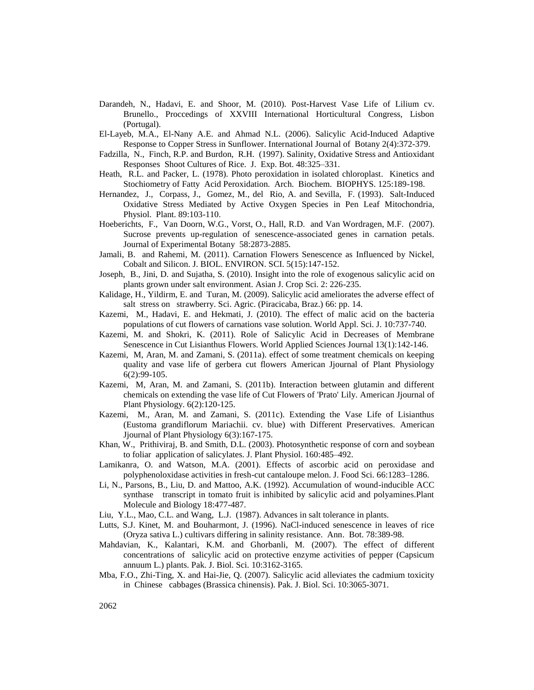- Darandeh, N., Hadavi, E. and Shoor, M. (2010). Post-Harvest Vase Life of Lilium cv. Brunello., Proccedings of XXVIII International Horticultural Congress, Lisbon (Portugal).
- El-Layeb, M.A., El-Nany A.E. and Ahmad N.L. (2006). Salicylic Acid-Induced Adaptive Response to Copper Stress in Sunflower. International Journal of Botany 2(4):372-379.
- Fadzilla, N., Finch, R.P. and Burdon, R.H. (1997). Salinity, Oxidative Stress and Antioxidant Responses Shoot Cultures of Rice. J. Exp. Bot. 48:325–331.
- Heath, R.L. and Packer, L. (1978). Photo peroxidation in isolated chloroplast. Kinetics and Stochiometry of Fatty Acid Peroxidation. Arch. Biochem. BIOPHYS. 125:189-198.
- Hernandez, J., Corpass, J., Gomez, M., del Rio, A. and Sevilla, F. (1993). Salt-Induced Oxidative Stress Mediated by Active Oxygen Species in Pen Leaf Mitochondria, Physiol. Plant. 89:103-110.
- Hoeberichts, F., Van Doorn, W.G., Vorst, O., Hall, R.D. and Van Wordragen, M.F. (2007). Sucrose prevents up-regulation of senescence-associated genes in carnation petals. Journal of Experimental Botany 58:2873-2885.
- Jamali, B. and Rahemi, M. (2011). Carnation Flowers Senescence as Influenced by Nickel, Cobalt and Silicon. J. BIOL. ENVIRON. SCI. 5(15):147-152.
- Joseph, B., Jini, D. and Sujatha, S. (2010). Insight into the role of exogenous salicylic acid on plants grown under salt environment. Asian J. Crop Sci. 2: 226-235.
- Kalidage, H., Yildirm, E. and Turan, M. (2009). Salicylic acid ameliorates the adverse effect of salt stress on strawberry. Sci. Agric. (Piracicaba, Braz.) 66: pp. 14.
- Kazemi, M., Hadavi, E. and Hekmati, J. (2010). The effect of malic acid on the bacteria populations of cut flowers of carnations vase solution. World Appl. Sci. J. 10:737-740.
- Kazemi, M. and Shokri, K. (2011). Role of Salicylic Acid in Decreases of Membrane Senescence in Cut Lisianthus Flowers. World Applied Sciences Journal 13(1):142-146.
- Kazemi, M, Aran, M. and Zamani, S. (2011a). effect of some treatment chemicals on keeping quality and vase life of gerbera cut flowers American Jjournal of Plant Physiology 6(2):99-105.
- Kazemi, M, Aran, M. and Zamani, S. (2011b). Interaction between glutamin and different chemicals on extending the vase life of Cut Flowers of 'Prato' Lily. American Jjournal of Plant Physiology. 6(2):120-125.
- Kazemi, M., Aran, M. and Zamani, S. (2011c). Extending the Vase Life of Lisianthus (Eustoma grandiflorum Mariachii. cv. blue) with Different Preservatives. American Jjournal of Plant Physiology 6(3):167-175.
- Khan, W., Prithiviraj, B. and Smith, D.L. (2003). Photosynthetic response of corn and soybean to foliar application of salicylates. J. Plant Physiol. 160:485–492.
- Lamikanra, O. and Watson, M.A. (2001). Effects of ascorbic acid on peroxidase and polyphenoloxidase activities in fresh-cut cantaloupe melon. J. Food Sci. 66:1283–1286.
- Li, N., Parsons, B., Liu, D. and Mattoo, A.K. (1992). Accumulation of wound-inducible ACC synthase transcript in tomato fruit is inhibited by salicylic acid and polyamines.Plant Molecule and Biology 18:477-487.
- Liu, Y.L., Mao, C.L. and Wang, L.J. (1987). Advances in salt tolerance in plants.
- Lutts, S.J. Kinet, M. and Bouharmont, J. (1996). NaCl-induced senescence in leaves of rice (Oryza sativa L.) cultivars differing in salinity resistance. Ann. Bot. 78:389-98.
- Mahdavian, K., Kalantari, K.M. and Ghorbanli, M. (2007). The effect of different concentrations of salicylic acid on protective enzyme activities of pepper (Capsicum annuum L.) plants. Pak. J. Biol. Sci. 10:3162-3165.
- Mba, F.O., Zhi-Ting, X. and Hai-Jie, Q. (2007). Salicylic acid alleviates the cadmium toxicity in Chinese cabbages (Brassica chinensis). Pak. J. Biol. Sci. 10:3065-3071.